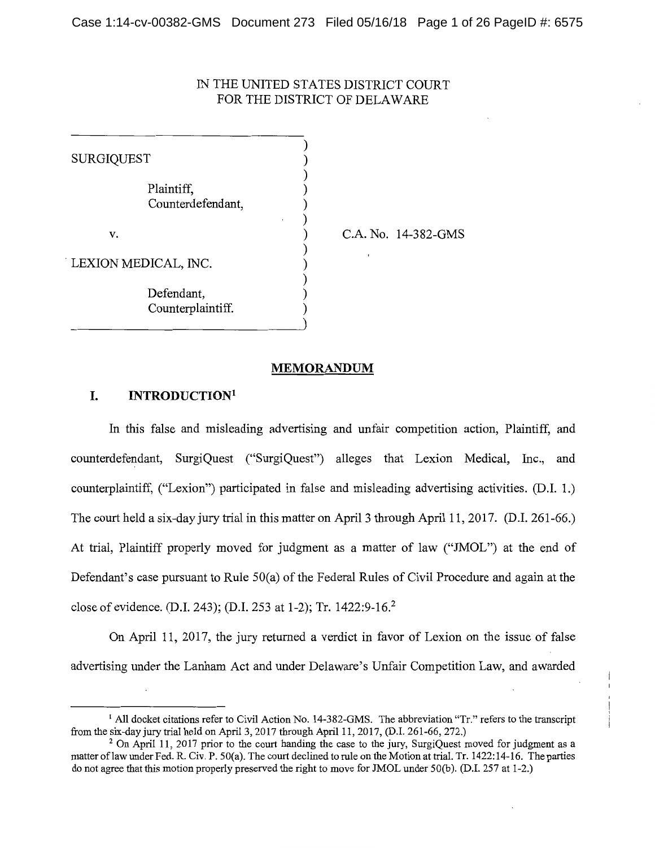# IN THE UNITED STATES DISTRICT COURT FOR THE DISTRICT OF DELAWARE

| SURGIQUEST           |                                 |  |
|----------------------|---------------------------------|--|
|                      | Plaintiff,<br>Counterdefendant, |  |
| v.                   |                                 |  |
| LEXION MEDICAL, INC. |                                 |  |
|                      | Defendant,<br>Counterplaintiff. |  |

C.A. No. 14-382-GMS

#### **MEMORANDUM**

# **I. INTRODUCTION1**

In this false and misleading advertising and unfair competition action, Plaintiff, and counterdefendant, SurgiQuest ("SurgiQuest") alleges that Lexion Medical, Inc., and counterplaintiff, ("Lexion") participated in false and misleading advertising activities. (D.I. 1.) The court held a six-day jury trial in this matter on April 3 through April 11, 2017. (D.I. 261-66.) At trial, Plaintiff properly moved for judgment as a matter of law ("JMOL") at the end of Defendant's case pursuant to Rule 50(a) of the Federal Rules of Civil Procedure and again at the close of evidence. (D.I. 243); (D.I. 253 at 1-2); Tr. 1422:9-16.<sup>2</sup>

On April 11, 2017, the jury returned a verdict in favor of Lexion on the issue of false advertising under the Lanham Act and under Delaware's Unfair Competition Law, and awarded

<sup>&</sup>lt;sup>1</sup> All docket citations refer to Civil Action No. 14-382-GMS. The abbreviation "Tr." refers to the transcript from the six-day jury trial held on April 3, 2017 through April 11, 2017, (D.I. 261-66, 272.)

<sup>&</sup>lt;sup>2</sup> On April 11, 2017 prior to the court handing the case to the jury, SurgiQuest moved for judgment as a matter of law under Fed. R. Civ. P. 50(a). The court declined to rule on the Motion at trial. Tr. 1422:14-16. The parties do not agree that this motion properly preserved the right to move for JMOL under 50(b). (D.I. 257 at 1-2.)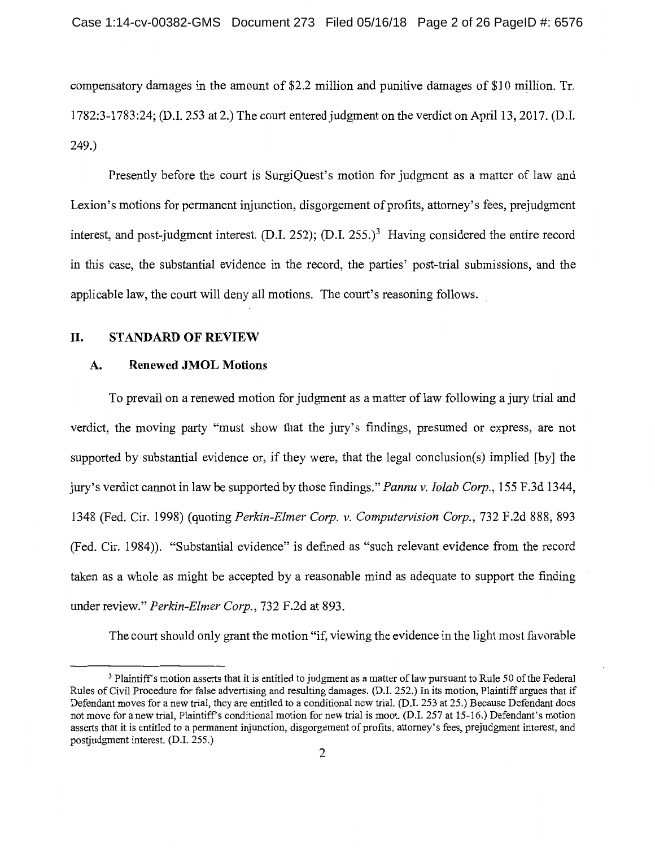compensatory damages in the amount of \$2.2 million and punitive damages of \$10 million. Tr. 1782:3-1783:24; (D.1. 253 at 2.) The court entered judgment on the verdict on April 13, 2017. (D.1. 249.)

Presently before the court is SurgiQuest's motion for judgment as a matter of law and Lexion's motions for permanent injunction, disgorgement of profits, attorney's fees, prejudgment interest, and post-judgment interest.  $(D.I. 252)$ ;  $(D.I. 255.)<sup>3</sup>$  Having considered the entire record in this case, the substantial evidence in the record, the parties' post-trial submissions, and the applicable law, the court will deny all motions. The court's reasoning follows.

# **II. STANDARD OF REVIEW**

### **A. Renewed JMOL Motions**

To prevail on a renewed motion for judgment as a matter of law following a jury trial and verdict, the moving party "must show that the jury's findings, presumed or express, are not supported by substantial evidence or, if they were, that the legal conclusion(s) implied [by] the jury's verdict cannot in law be supported by those findings." *Pannu v. Iolab Corp.,* 155 F.3d 1344, 1348 (Fed. Cir. 1998) (quoting *Perkin-Elmer Corp. v. Computervision Corp.,* 732 F.2d 888, 893 (Fed. Cir. 1984)). "Substantial evidence" is defined as "such relevant evidence from the record taken as a whole as might be accepted by a reasonable mind as adequate to support the finding under review." *Perkin-Elmer Corp.,* 732 F.2d at 893.

The court should only grant the motion "if, viewing the evidence in the light most favorable

<sup>&</sup>lt;sup>3</sup> Plaintiff's motion asserts that it is entitled to judgment as a matter of law pursuant to Rule 50 of the Federal Rules of Civil Procedure for false advertising and resulting damages. (D.1. 252.) In its motion, Plaintiff argues that if Defendant moves for a new trial, they are entitled to a conditional new trial. (D.1. 253 at 25.) Because Defendant does not move for a new trial, Plaintiffs conditional motion for new trial is moot. (D.I. 257 at 15-16.) Defendant's motion asserts that it is entitled to a permanent injunction, disgorgement of profits, attorney's fees, prejudgment interest, and postjudgment interest. (D.I. 255.)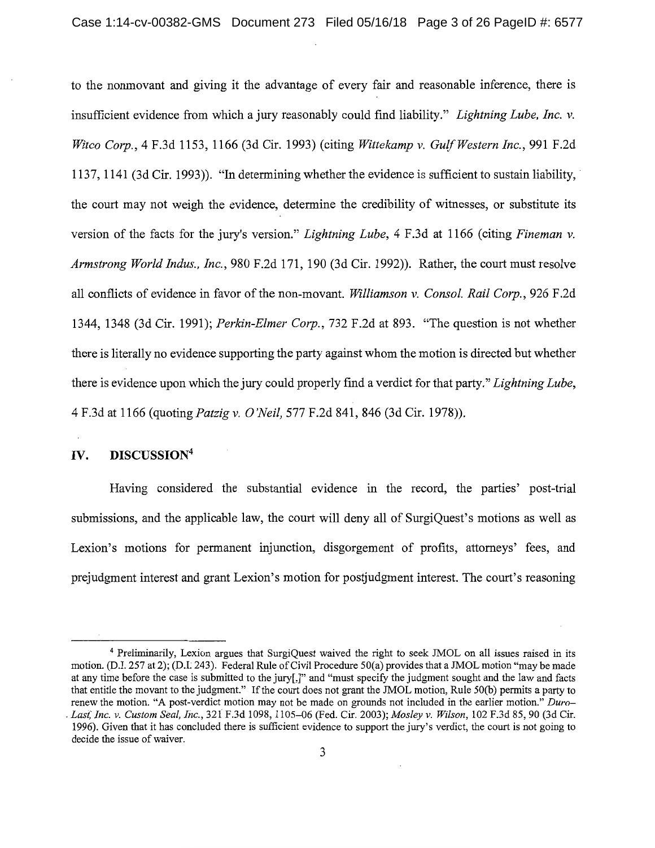to the nonmovant and giving it the advantage of every fair and reasonable inference, there is insufficient evidence from which a jury reasonably could find liability." *Lightning Lube, Inc. v. Witco Corp.,* 4 F.3d 1153, 1166 (3d Cir. 1993) (citing *Wittekamp v. Gulf Western Inc.,* 991 F.2d 1137, 1141 (3d Cir. 1993)). "In determining whether the evidence is sufficient to sustain liability, the court may not weigh the evidence, determine the credibility of witnesses, or substitute its version of the facts for the jury's version." *Lightning Lube,* 4 F.3d at 1166 (citing *Fineman v. Armstrong World Indus., Inc.,* 980 F.2d 171, 190 (3d Cir. 1992)). Rather, the court must resolve all conflicts of evidence in favor of the non-movant. *Williamson v. Consol. Rail Corp.,* 926 F.2d 1344, 1348 (3d Cir. 1991); *Perkin-Elmer C01p.,* 732 F.2d at 893. "The question is not whether there is literally no evidence supporting the party against whom the motion is directed but whether there is evidence upon which the jury could properly find a verdict for that party." *Lightning Lube,*  4 F.3d at 1166 (quoting *Patzig v. O'Neil,* 577 F.2d 841, 846 (3d Cir. 1978)).

## **IV. DISCUSSION<sup>4</sup>**

Having considered the substantial evidence in the record, the parties' post-trial submissions, and the applicable law, the court will deny all of SurgiQuest's motions as well as Lexion's motions for permanent injunction, disgorgement of profits, attorneys' fees, and prejudgment interest and grant Lexion's motion for postjudgment interest. The court's reasoning

<sup>4</sup>Preliminarily, Lexion argues that SurgiQuest waived the right to seek JMOL on all issues raised in its motion. (D.I. 257 at 2); (D.L 243). Federal Rule of Civil Procedure 50(a) provides that a JMOL motion "may be made at any time before the case is submitted to the jury[,]" and "must specify the judgment sought and the law and facts that entitle the movant to the judgment." If the court does not grant the JMOL motion, Rule 50(b) permits a party to renew the motion. "A post-verdict motion may not be made on grounds not included in the earlier motion." Duro-. *Last; Inc. v. Custom Seal, Inc.,* 321 F.3d 1098, 1105-06 (Fed. Cir. 2003); *Mosley v. Wilson,* 102 F.3d 85, 90 (3d Cir. 1996). Given that it has concluded there is sufficient evidence to support the jury's verdict, the court is not going to decide the issue of waiver.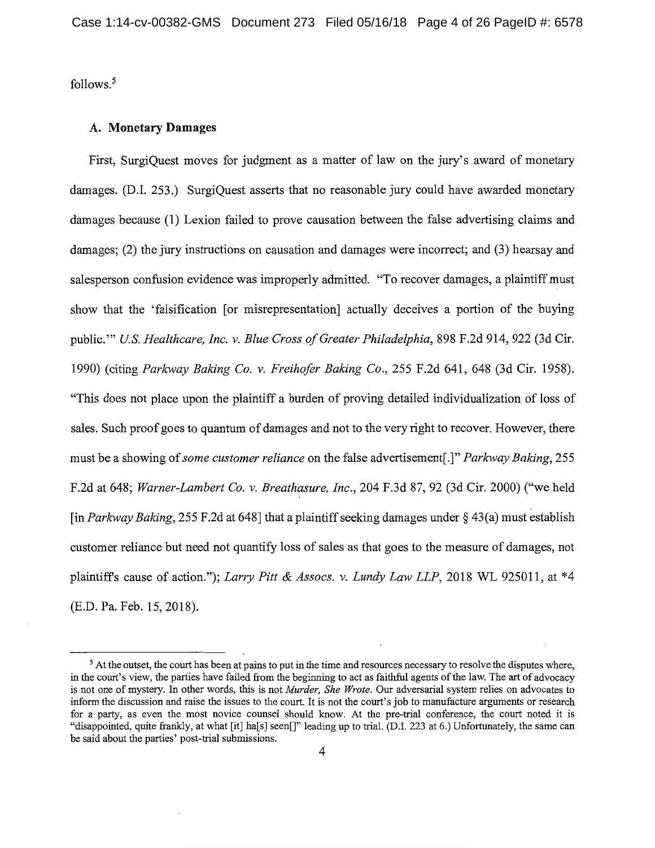follows. <sup>5</sup>

#### A. **Monetary Damages**

First, SurgiQuest moves for judgment as a matter of law on the jury's award of monetary damages. (D.I. 253.) SurgiQuest asserts that no reasonable jury could have awarded monetary damages because (1) Lexion failed to prove causation between the false advertising claims and damages; (2) the jury instructions on causation and damages were incorrect; and (3) hearsay and salesperson confusion evidence was improperly admitted. "To recover damages, a plaintiff must show that the 'falsification [or misrepresentation] actually deceives a portion of the buying public."' *U.S. Healthcare, Inc. v. Blue Cross of Greater Philadelphia,* 898 F.2d 914, 922 (3d Cir. 1990) (citing *Parkway Baking Co. v. Freihofer Baking Co.,* 255 F.2d 641, 648 (3d Cir. 1958). "This does not place upon the plaintiff a burden of proving detailed individualization of loss of sales. Such proof goes to quantum of damages and not to the very right to recover. However, there must be a showing of *some customer reliance* on the false advertisement[.]" *Parkway Baking,* 255 F.2d at 648; *Warner-Lambert Co. v. Breathasure, Inc.,* 204 F.3d 87, 92 (3d Cir. 2000) ("we held [in *Parkway Baking,* 255 F.2d at 648] that a plaintiff seeking damages under§ 43(a) must establish customer reliance but need not quantify loss of sales as that goes to the measure of damages, not plaintiffs cause of action."); *Larry Pitt & Assocs. v. Lundy Law LLP,* 2018 WL 925011, at \*4 (E.D. Pa. Feb. 15, 2018).

<sup>&</sup>lt;sup>5</sup> At the outset, the court has been at pains to put in the time and resources necessary to resolve the disputes where, in the court's view, the parties have failed from the beginning to act as faithful agents of the law. The art of advocacy is not one of mystery. In other words, this is not *Murder, She Wrote.* Our adversarial system relies on advocates to inform the discussion and raise the issues to the court. It is not the court's job to manufacture arguments or research for a party, as even the most novice counsel should know. At the pre-trial conference, the court noted it is "disappointed, quite frankly, at what [it] ha[s] seen[]" leading up to trial. (D.I. 223 at 6.) Unfortunately, the same can be said about the parties' post-trial submissions.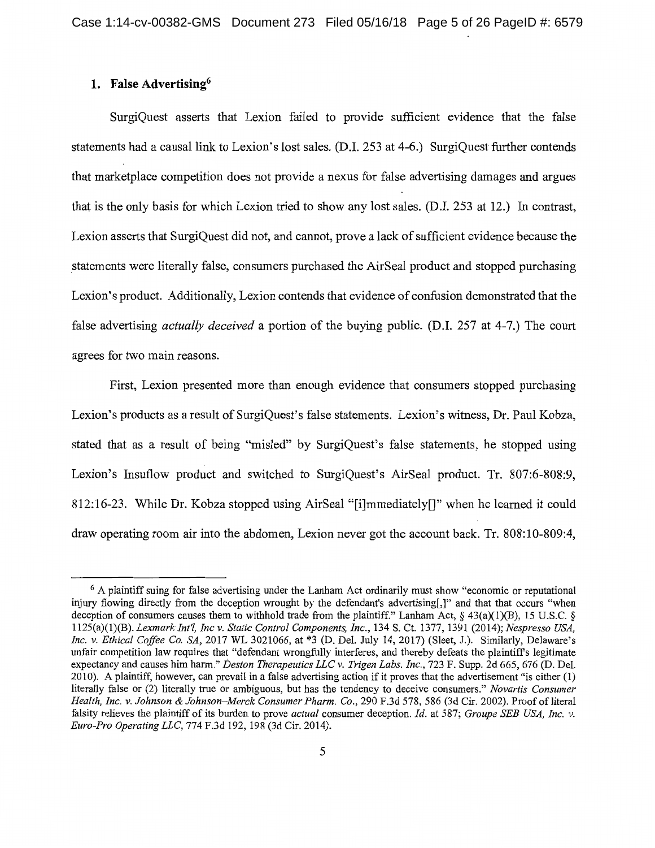# **1. False Advertising<sup>6</sup>**

SurgiQuest asserts that Lexion failed to provide sufficient evidence that the false statements had a causal link to Lexion's lost sales. (D.I. 253 at 4-6.) SurgiQuest further contends that marketplace competition does not provide a nexus for false advertising damages and argues that is the only basis for which Lexion tried to show any lost sales. (D.I. 253 at 12.) In contrast, Lexion asserts that SurgiQuest did not, and cannot, prove a lack of sufficient evidence because the \_statements were literally false, consumers purchased the AirSeal product and stopped purchasing Lexion's product. Additionally, Lexion contends that evidence of confusion demonstrated that the false advertising *actually deceived* a portion of the buying public. (D.I. 257 at 4-7.) The court agrees for two main reasons.

First, Lexion presented more than enough evidence that consumers stopped purchasing Lexion's products as a result of SurgiQuest's false statements. Lexion's witness, Dr. Paul Kobza, stated that as a result of being "misled" by SurgiQuest's false statements, he stopped using Lexion's Insuflow product and switched to SurgiQuest's AirSeal product. Tr. 807:6-808:9, 812:16-23. While Dr. Kobza stopped using AirSeal "[i]mmediately[]" when he learned it could draw operating room air into the abdomen, Lexion never got the account back. Tr. 808:10-809:4,

<sup>6</sup>A plaintiff suing for false advertising under the Lanham Act ordinarily must show "economic or reputational injury flowing directly from the deception wrought by the defendant's advertising[,]" and that that occurs "when deception of consumers causes them to withhold trade from the plaintiff." Lanham Act,  $\S$  43(a)(1)(B), 15 U.S.C.  $\S$ 1125(a)(l)(B). *Lexmark Int'!, Inc v. Static Control Components, Inc.,* 134 S. Ct. 1377, 1391 (2014); *Nespresso USA, Inc. v. Ethical Coffee Co. SA,* 2017 WL 3021066, at \*3 (D. Del. July 14, 2017) (Sleet, J.). Similarly, Delaware's unfair competition law requires that "defendant wrongfully interferes, and thereby defeats the plaintiffs legitimate expectancy and causes him harm." *Deston Therapeutics LLC v. Trigen Labs. Inc.,* 723 F. Supp. 2d 665, 676 (D. Del. 2010). A plaintiff, however, can prevail in a false advertising action if it proves that the advertisement "is either (1) literally false or (2) literally true or ambiguous, but has the tendency to deceive consumers." *Novartis Consumer Health, Inc. v. Johnson* & *Johnson-Merck Consumer Phann. Co.,* 290 F.3d 578, 586 (3d Cir. 2002). Proof of literal falsity relieves the plaintiff of its burden to prove *actual* consumer deception. *Id.* at 587; *Groupe SEE USA, Inc. v. Euro-Pro Operating LLC,* 774 F.3d 192, 198 (3d Cir. 2014).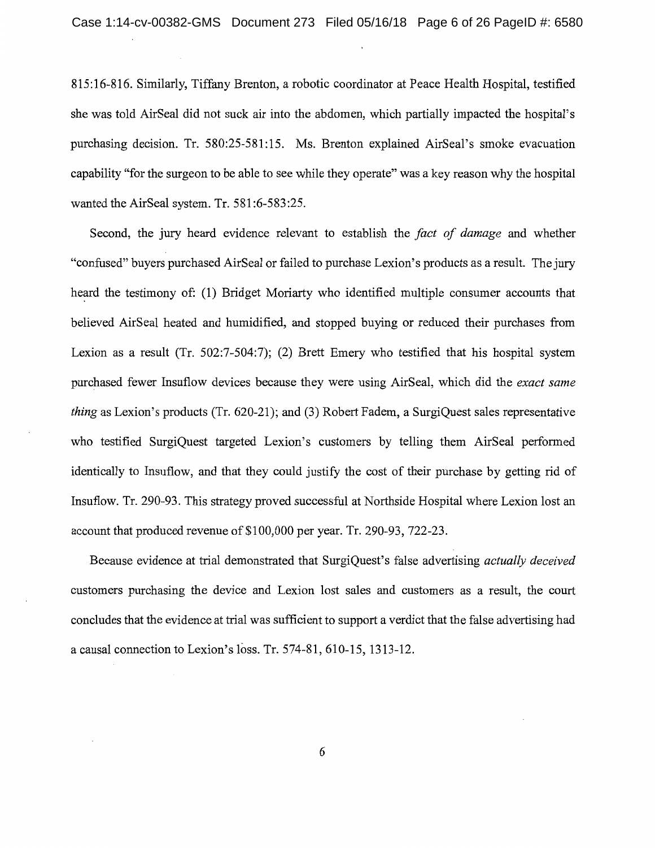815:16-816. Similarly, Tiffany Brenton, a robotic coordinator at Peace Health Hospital, testified she was told AirSeal did not suck air into the abdomen, which partially impacted the hospital's purchasing decision. Tr. 580:25-581:15. Ms. Brenton explained AirSeal's smoke evacuation capability "for the surgeon to be able to see while they operate" was a key reason why the hospital wanted the AirSeal system. Tr. 581:6-583:25.

Second, the jury heard evidence relevant to establish the *fact of damage* and whether "confused" buyers purchased AirSeal or failed to purchase Lexion's products as a result. The jury heard the testimony of: (1) Bridget Moriarty who identified multiple consumer accounts that believed AirSeal heated and humidified, and stopped buying or reduced their purchases from Lexion as a result (Tr. 502:7-504:7); (2) Brett Emery who testified that his hospital system purchased fewer Insuflow devices because they were using AirSeal, which did the *exact same thing* as Lexion's products (Tr. 620-21); and (3) Robert Fadem, a SurgiQuest sales representative who testified SurgiQuest targeted Lexion's customers by telling them AirSeal performed identically to Insuflow, and that they could justify the cost of their purchase by getting rid of Insuflow. Tr. 290-93. This strategy proved successful at Northside Hospital where Lexion lost an account that produced revenue of \$100,000 per year. Tr. 290-93, 722-23.

Because evidence at trial demonstrated that SurgiQuest's false advertising *actually deceived*  customers purchasing the device and Lexion lost sales and customers as a result, the court concludes that the evidence at trial was sufficient to support a verdict that the false advertising had a causal connection to Lexion's loss. Tr. 574-81, 610-15, 1313-12.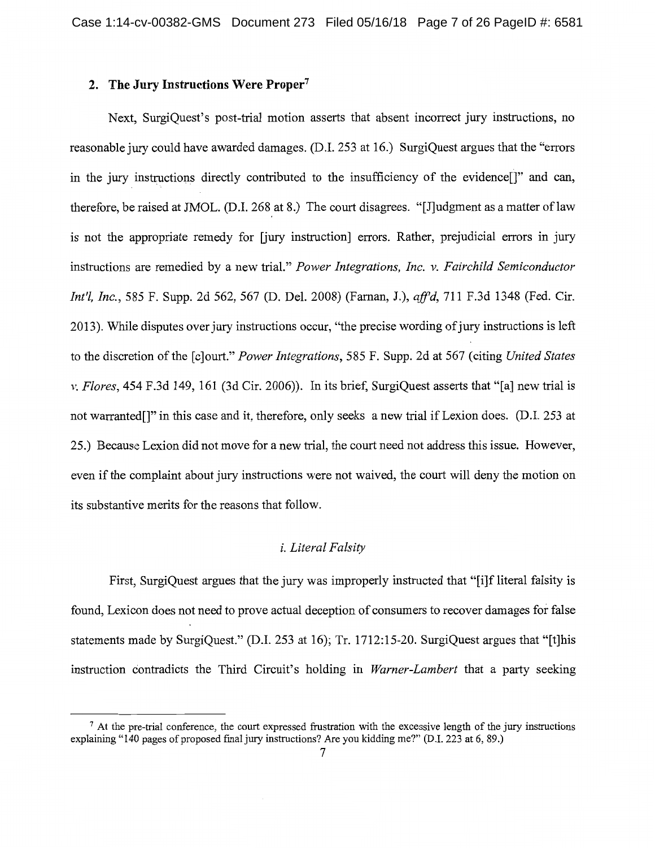# **2. The Jury Instructions Were Proper<sup>7</sup>**

Next, SurgiQuest's post-trial motion asserts that absent incorrect jury instructions, no reasonable jury could have awarded damages. (D.I. 253 at 16.) SurgiQuest argues that the "errors in the jury instructions directly contributed to the insufficiency of the evidence[]" and can, therefore, be raised at JMOL. (D.I. 268 at 8.) The court disagrees. "[J]udgment as a matter of law is not the appropriate remedy for [jury instruction] errors. Rather, prejudicial errors in jury instructions are remedied by a new trial." *Power Integrations, Inc. v. Fairchild Semiconductor Int'l, Inc.,* 585 F. Supp. 2d 562, 567 (D. Del. 2008) (Farnan, J.), *afj'd,* 711 F.3d 1348 (Fed. Cir. 2013). While disputes over jury instructions occur, "the precise wording of jury instructions is left to the discretion of the [c]ourt." *Power Integrations,* 585 F. Supp. 2d at 567 (citing *United States v. Flores,* 454 F.3d 149, 161 (3d Cir. 2006)). In its brief, SurgiQuest asserts that "[a] new trial is not warranted[]" in this case and it, therefore, only seeks a new trial if Lexion does. (D.I. 253 at 25.) Because Lexion did not move for a new trial, the court need not address this issue. However, even if the complaint about jury instructions were not waived, the court will deny the motion on its substantive merits for the reasons that follow.

### *i. Literal Falsity*

First, SurgiQuest argues that the jury was improperly instructed that "[i]f literal falsity is found, Lexicon does not need to prove actual deception of consumers to recover damages for false statements made by SurgiQuest." (D.I. 253 at 16); Tr. 1712:15-20. SurgiQuest argues that "[t]his instruction contradicts the Third Circuit's holding in *Warner-Lambert* that a party seeking

 $<sup>7</sup>$  At the pre-trial conference, the court expressed frustration with the excessive length of the jury instructions</sup> explaining "140 pages of proposed final jury instructions? Are you kidding me?" (D.I. 223 at 6, 89.)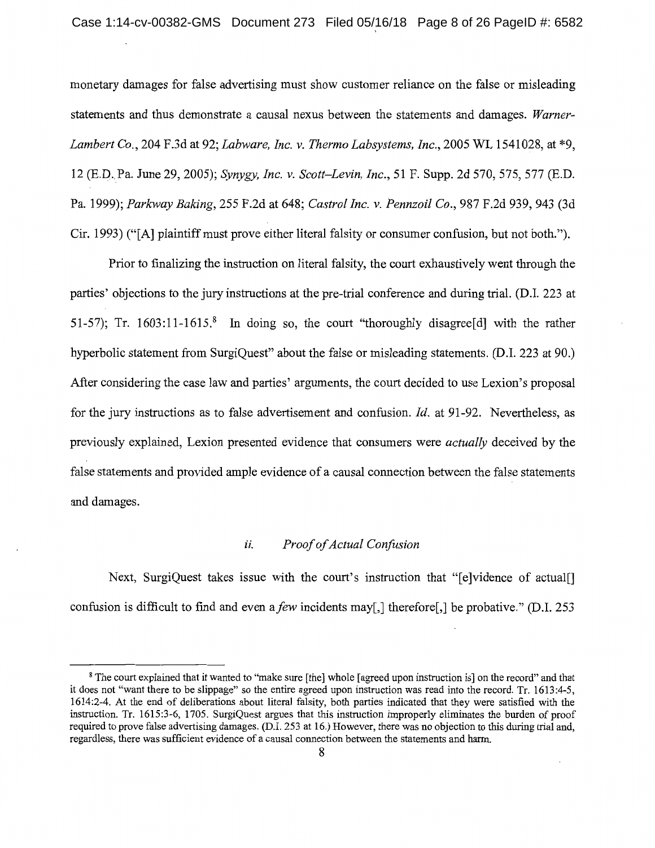monetary damages for false advertising must show customer reliance on the false or misleading statements and thus demonstrate a causal nexus between the statements and damages. *Warner-Lambert Co.,* 204 F.3d at 92; *Labware, Inc. v. Thermo Labsystems, Inc.,* 2005 WL 1541028, at \*9, 12 (E.D .. Pa. June 29, 2005); *Synygy, Inc. v. Scott-Levin, Inc.,* 51 F. Supp. 2d 570,575,577 (E.D. Pa. 1999); *Parkway Baking,* 255 F.2d at 648; *Castro! Inc. v. Pennzoil Co.,* 987 F.2d 939, 943 (3d Cir. 1993) ("[A] plaintiff must prove either literal falsity or consumer confusion, but not both.").

Prior to finalizing the instruction on literal falsity, the court exhaustively went through the parties' objections to the jury instructions at the pre-trial conference and during trial. (D.I. 223 at 51-57); Tr. 1603:11-1615.<sup>8</sup> In doing so, the court "thoroughly disagree [d] with the rather hyperbolic statement from SurgiQuest" about the false or misleading statements. (D.I. 223 at 90.) After considering the case law and parties' arguments, the court decided to use Lexion's proposal for the jury instructions as to false advertisement and confusion. *Id.* at 91-92. Nevertheless, as previously explained, Lexion presented evidence that consumers were *actually* deceived by the false statements and provided ample evidence of a causal connection between the false statements and damages.

### ii. *Proof of Actual Confusion*

Next, SurgiQuest takes issue with the court's instruction that "[e]vidence of actual[] confusion is difficult to find and even *afew* incidents may[,] therefore[,] be probative." (D.I. 253

<sup>8</sup> The court explained that it wanted to "make sure [the] whole [agreed upon instruction is] on the record" and that it does not "want there to be slippage" so the entire agreed upon instruction was read into the record. Tr. 1613:4-5, 1614:2-4. At the end of deliberations about literal falsity, both parties indicated that they were satisfied with the instruction. Tr. 1615:3-6, 1705. SurgiQuest argues that this instruction improperly eliminates the burden of proof required to prove false advertising damages. (D.I. 253 at 16.) However, there was no objection to this during trial and, regardless, there was sufficient evidence of a causal connection between the statements and harm.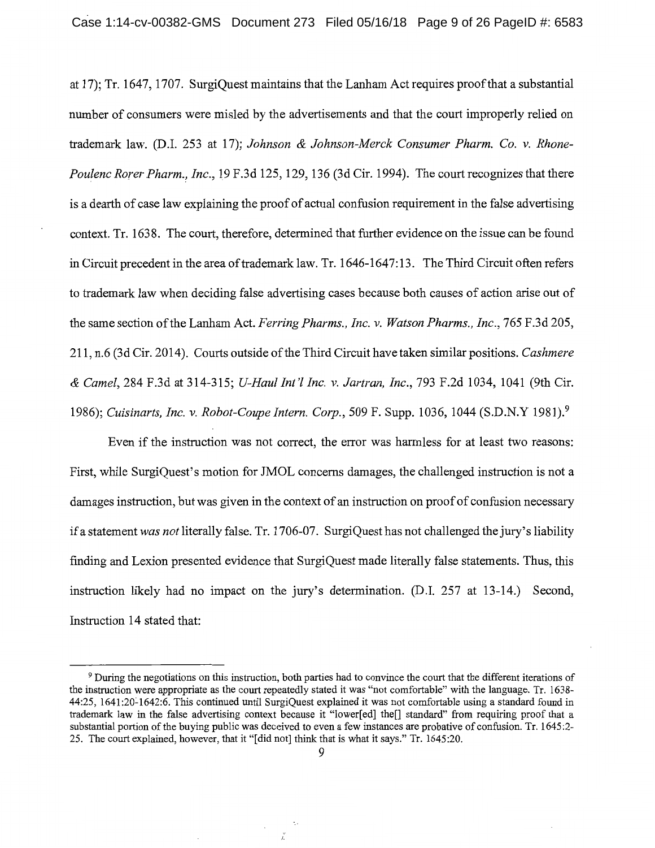at 17); Tr. 1647, 1707. SurgiQuest maintains that the Lanham Act requires proof that a substantial number of consumers were misled by the advertisements and that the court improperly relied on trademark law. (D.I. 253 at 17); *Johnson & Johnson-Merck Consumer Pharm. Co. v. Rhone-Poulenc Rorer Pharm., Inc.,* 19 F.3d 125, 129, 136 (3d Cir. 1994). The court recognizes that there is a dearth of case law explaining the proof of actual confusion requirement in the false advertising context. Tr. 1638. The court, therefore, determined that further evidence on the issue can be found in Circuit precedent in the area of trademark law. Tr. 1646-1647:13. The Third Circuit often refers to trademark law when deciding false advertising cases because both causes of action arise out of the same section of the Lanham Act. *Ferring Pharms., Inc. v. Watson Pharms., Inc.,* 765 F.3d 205, 211, n.6 (3d Cir. 2014). Courts outside of the Third Circuit have taken similar positions. *Cashmere & Camel,* 284 F.3d at 314-315; *U-Haul Int'[ Inc. v. Jartran, Inc.,* 793 F.2d 1034, 1041 (9th Cir. 1986); *Cuisinarts, Inc. v. Robot-Coupe Intern. Corp.,* 509 F. Supp. 1036, 1044 (S.D.N.Y 1981).<sup>9</sup>

Even if the instruction was not correct, the error was harmless for at least two reasons: First, while SurgiQuest's motion for JMOL concerns damages, the challenged instruction is not a damages instruction, but was given in the context of an instruction on proof of confusion necessary if a statement *was not* literally false. Tr. 1706-07. SurgiQuest has not challenged the jury's liability finding and Lexion presented evidence that SurgiQuest made literally false statements. Thus, this instruction likely had no impact on the jury's determination. (D.I. 257 at 13-14.) Second, Instruction 14 stated that:

<sup>9</sup>During the negotiations on this instruction, both parties had to convince the court that the different iterations of the instruction were appropriate as the court repeatedly stated it was "not comfortable" with the language. Tr. 1638- 44:25, 1641:20~1642:6. This continued until SurgiQuest explained it was not comfortable using a standard found in trademark law in the false advertising context because it "lower[ ed] the[] standard" from requiring proof that a substantial portion of the buying public was deceived to even a few instances are probative of confusion. Tr. 1645 :2- 25. The court explained, however, that it "[did not] think that is what it says." Tr. 1645:20.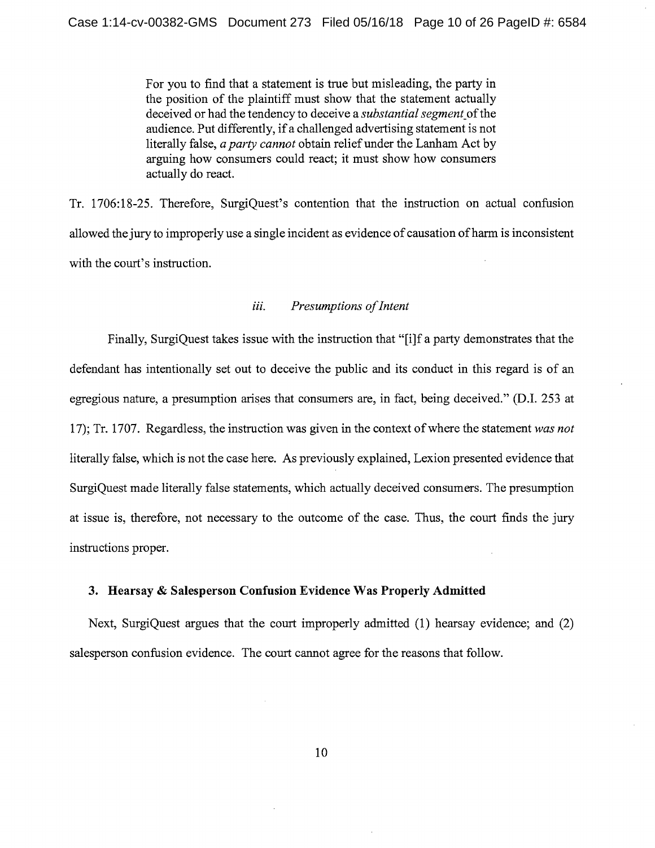For you to find that a statement is true but misleading, the party in the position of the plaintiff must show that the statement actually deceived or had the tendency to deceive a *substantial segment\_* of the audience. Put differently, if a challenged advertising statement is not literally false, *a party cannot* obtain relief under the Lanham Act by arguing how consumers could react; it must show how consumers actually do react.

Tr. 1706:18-25. Therefore, SurgiQuest's contention that the instruction on actual confusion allowed the jury to improperly use a single incident as evidence of causation of harm is inconsistent with the court's instruction.

### *iii. Presumptions of Intent*

Finally, SurgiQuest takes issue with the instruction that "[i]f a party demonstrates that the defendant has intentionally set out to deceive the public and its conduct in this regard is of an egregious nature, a presumption arises that consumers are, in fact, being deceived." (D.I. 253 at 17); Tr. 1707. Regardless, the instruction was given in the context of where the statement *was not*  literally false, which is not the case here. As previously explained, Lexion presented evidence that SurgiQuest made literally false statements, which actually deceived consumers. The presumption at issue is, therefore, not necessary to the outcome of the case. Thus, the court finds the jury instructions proper.

#### **3. Hearsay** & **Salesperson Confusion Evidence Was Properly Admitted**

Next, SurgiQuest argues that the court improperly admitted (1) hearsay evidence; and (2) salesperson confusion evidence. The court cannot agree for the reasons that follow.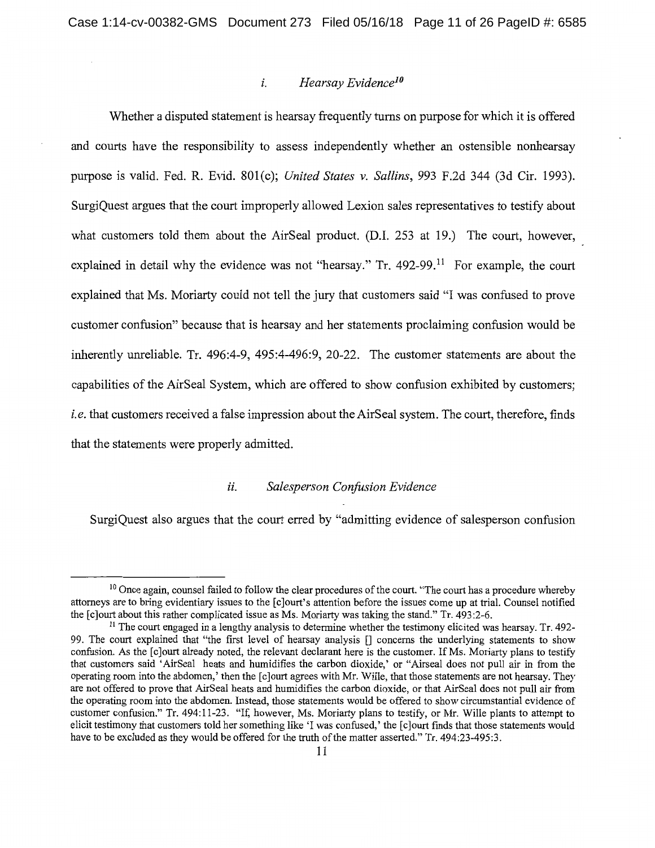### *i. Hearsay Evidence10*

Whether a disputed statement is hearsay frequently turns on purpose for which it is offered and courts have the responsibility to assess independently whether an ostensible nonhearsay purpose is valid. Fed. R. Evid. 801(c); *United States v. Sallins,* 993 F.2d 344 (3d Cir. 1993). SurgiQuest argues that the court improperly allowed Lexion sales representatives to testify about what customers told them about the AirSeal product. (D.I. 253 at 19.) The court, however, explained in detail why the evidence was not "hearsay." Tr.  $492-99$ .<sup>11</sup> For example, the court explained that Ms. Moriarty could not tell the jury that customers said "I was confused to prove customer confusion" because that is hearsay and her statements proclaiming confusion would be inherently unreliable. Tr. 496:4-9, 495:4-496:9, 20-22. The customer statements are about the capabilities of the AirSeal System, which are offered to show confusion exhibited by customers; *i.e.* that customers received a false impression about the AirSeal system. The court, therefore, finds that the statements were properly admitted.

#### *ii. Salesperson Confusion Evidence*

SurgiQuest also argues that the court erred by "admitting evidence of salesperson confusion

<sup>&</sup>lt;sup>10</sup> Once again, counsel failed to follow the clear procedures of the court. "The court has a procedure whereby attorneys are to bring evidentiary issues to the [c]ourt's attention before the issues come up at trial. Counsel notified the [c]ourt about this rather complicated issue as Ms. Moriarty was taking the stand." Tr. 493:2-6.

 $11$  The court engaged in a lengthy analysis to determine whether the testimony elicited was hearsay. Tr. 492-99. The court explained that "the first level of hearsay analysis [] concerns the underlying statements to show confusion. As the [c]ourt already noted, the relevant declarant here is the customer. If Ms. Moriarty plans to testify that customers said 'AirSeal heats and humidifies the carbon dioxide,' or "Airseal does not pull air in from the operating room into the abdomen,' then the [clourt agrees with Mr. Wille, that those statements are not hearsay. They are not offered to prove that AirSeal heats and humidifies the carbon dioxide, or that AirSeal does not pull air from the operating room into the abdomen. Instead, those statements would be offered to show circumstantial evidence of customer confusion." Tr. 494:11-23. "If, however, Ms. Moriarty plans to testify, or Mr. Wille plants to attempt to elicit testimony that customers told her something like 'I was confused,' the [c]ourt finds that those statements would have to be excluded as they would be offered for the truth of the matter asserted." Tr. 494:23-495:3.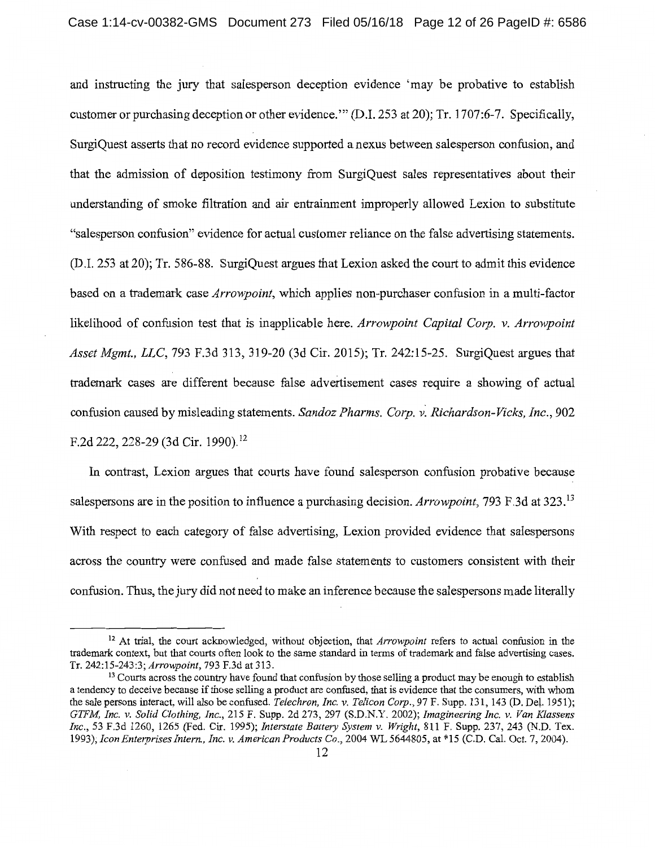and instructing the jury that salesperson deception evidence 'may be probative to establish customer or purchasing deception or other evidence."' (D.I. 253 at 20); Tr. 1707:6-7. Specifically, SurgiQuest asserts that no record evidence supported a nexus between salesperson confusion, and that the admission of deposition testimony from SurgiQuest sales representatives about their understanding of smoke filtration and air entrainment improperly allowed Lexion to substitute "salesperson confusion" evidence for actual customer reliance on the false advertising statements. (D.I. 253 at 20); Tr. 586-88. SurgiQuest argues that Lexion asked the court to admit this evidence based on a trademark case *Arrowpoint,* which applies non-purchaser confusion in a multi-factor likelihood of confusion test that is inapplicable here. *Arrowpoint Capital Corp.* v. *Arrowpoint Asset Mgmt., LLC,* 793 F.3d 313, 319-20 (3d Cir. 2015); Tr. 242:15-25. SurgiQuest argues that trademark cases are different because false advertisement cases require a showing of actual confusion caused by misleading statements. *Sandoz Pharms. Corp. v. Richardson-Vicks, Inc.*, 902 F.2d 222, 228-29 (3d Cir. 1990).<sup>12</sup>

In contrast, Lexion argues that courts have found salesperson confusion probative because salespersons are in the position to influence a purchasing decision. *Arrowpoint,* 793 F.3d at 323.13 With respect to each category of false advertising, Lexion provided evidence that salespersons across the country were confused and made false statements to customers consistent with their confusion. Thus, the jury did not need to make an inference because the salespersons made literally

<sup>12</sup> At trial, the court acknowledged, without objection, that *Arrowpoint* refers to actual confusion in the trademark context, but that courts often look to the same standard in terms of trademark and false advertising cases.<br>Tr. 242:15-243:3: *Arrowpoint*. 793 F.3d at 313.

<sup>&</sup>lt;sup>13</sup> Courts across the country have found that confusion by those selling a product may be enough to establish a tendency to deceive because if those selling a product are confused, that is evidence that the consumers, with whom the sale persons interact, will also be confused. *Telechron, Inc. v. Telicon Corp.,* 97 F. Supp. 131, 143 (D. Det. 1951); *GTFM, Inc. v. Solid Clothing, Inc.,* 215 F. Supp. 2d 273, 297 (S.D.N.Y. 2002); *Imagineering Inc. v. Van Klassens Inc.,* 53 F.3d 1260, 1265 (Fed. Cir. 1995); *Interstate Battery System v. Wright,* 811 F. Supp. 237, 243 (N.D. Tex. 1993); *Icon Enterprises Intern., Inc. v. American Products Co.,* 2004 WL 5644805, at \*15 (C.D. Cal. Oct. 7, 2004).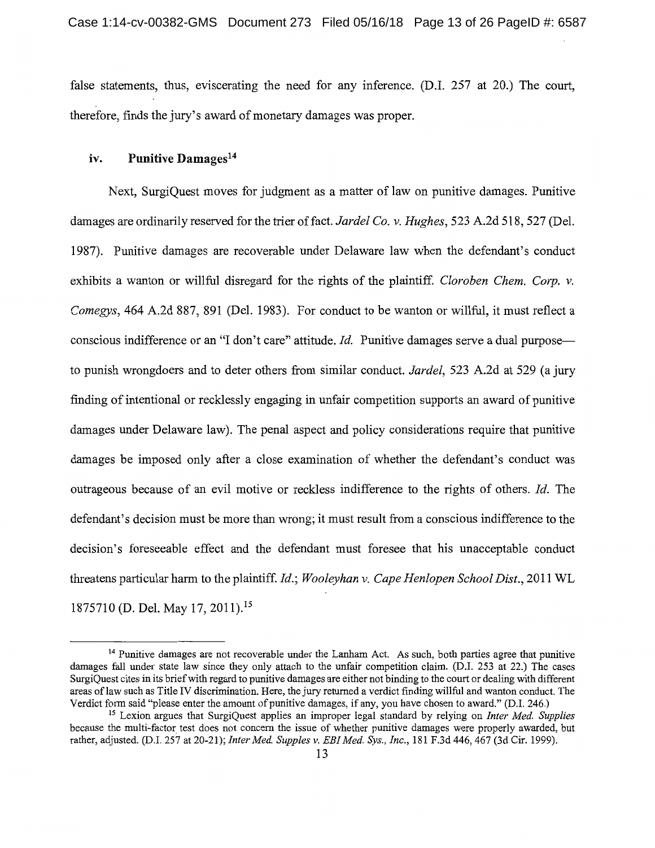false statements, thus, eviscerating the need for any inference. (D.I. 257 at 20.) The court, therefore, finds the jury's award of monetary damages was proper.

#### **iv. Punitive Damages14**

Next, SurgiQuest moves for judgment as a matter of law on punitive damages. Punitive damages are ordinarily reserved for the trier of fact. *Jardel Co. v. Hughes,* 523 A.2d 518, 527 (Del. 1987). Punitive damages are recoverable under Delaware law when the defendant's conduct exhibits a wanton or willful disregard for the rights of the plaintiff. *Cloroben Chem. Corp. v. Comegys,* 464 A.2d 887, 891 (Del. 1983). For conduct to be wanton or willful, it must reflect a conscious indifference or an "I don't care" attitude. *Id*. Punitive damages serve a dual purposeto punish wrongdoers and to deter others from similar conduct. *Jardel,* 523 A.2d at 529 (a jury finding of intentional or recklessly engaging in unfair competition supports an award of punitive damages under Delaware law). The penal aspect and policy considerations require that punitive damages be imposed only after a close examination of whether the defendant's conduct was outrageous because of an evil motive or reckless indifference to the rights of others. *Id.* The defendant's decision must be more than wrong; it must result from a conscious indifference to the decision's foreseeable effect and the defendant must foresee that his unacceptable conduct threatens particular harm to the plaintiff. *Id.; Wooleyhan v. Cape Henlopen School Dist.,* 2011 WL 1875710 (D. Del. May 17, 2011). <sup>15</sup>

<sup>&</sup>lt;sup>14</sup> Punitive damages are not recoverable under the Lanham Act. As such, both parties agree that punitive damages fall under state law since they only attach to the unfair competition claim. (D.I. 253 at 22.) The cases SurgiQuest cites in its brief with regard to punitive damages are either not binding to the court or dealing with different areas of law such as Title IV discrimination. Here, the jury returned a verdict finding willful and wanton conduct. The<br>Verdict form said "please enter the amount of punitive damages, if any, you have chosen to award." (D.

<sup>&</sup>lt;sup>15</sup> Lexion argues that SurgiQuest applies an improper legal standard by relying on *Inter Med. Supplies* because the multi-factor test does not concern the issue of whether punitive damages were properly awarded, but rather, adjusted. (D.I. 257 at 20-21); *Inter Med. Supples v. EBI Med. Sys., Inc.,* 181 F.3d 446,467 (3d Cir. 1999).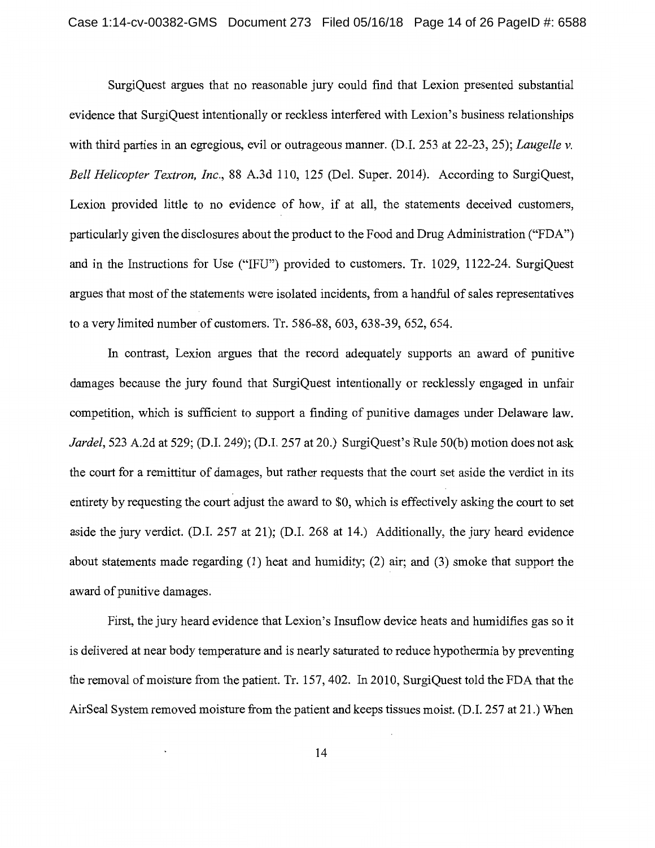SurgiQuest argues that no reasonable jury could find that Lexion presented substantial evidence that SurgiQuest intentionally or reckless interfered with Lexion's business relationships with third parties in an egregious, evil or outrageous manner. (D.I. 253 at 22-23, 25); *Laugelle v. Bell Helicopter Textron, Inc.,* 88 A.3d 110, 125 (Del. Super. 2014). According to SurgiQuest, Lexion provided little to no evidence of how, if at all, the statements deceived customers, particularly given the disclosures about the product to the Food and Drug Administration ("FDA") and in the Instructions for Use ("IFU") provided to customers. Tr. 1029, 1122-24. SurgiQuest argues that most of the statements were isolated incidents, from a handful of sales representatives to a very limited number of customers. Tr. 586-88, 603, 638-39, 652, 654.

In contrast, Lexion argues that the record adequately supports an award of punitive damages because the jury found that SurgiQuest intentionally or recklessly engaged in unfair competition, which is sufficient to support a finding of punitive damages under Delaware law. *Jardel,* 523 A.2d at 529; (D.I. 249); (D.I. 257 at 20.) SurgiQuest's Rule 50(b) motion does not ask the court for a remittitur of damages, but rather requests that the court set aside the verdict in its entirety by requesting the court adjust the award to \$0, which is effectively asking the court to set aside the jury verdict. (D.I. 257 at 21); (D.I. 268 at 14.) Additionally, the jury heard evidence about statements made regarding (1) heat and humidity; (2) air; and (3) smoke that support the award of punitive damages.

First, the jury heard evidence that Lexion's Insuflow device heats and humidifies gas so it is delivered at near body temperature and is nearly saturated to reduce hypothermia by preventing the removal of moisture from the patient. Tr. 157,402. In 2010, SurgiQuest told the FDA that the AirSeal System removed moisture from the patient and keeps tissues moist. (D.I. 257 at 21.) When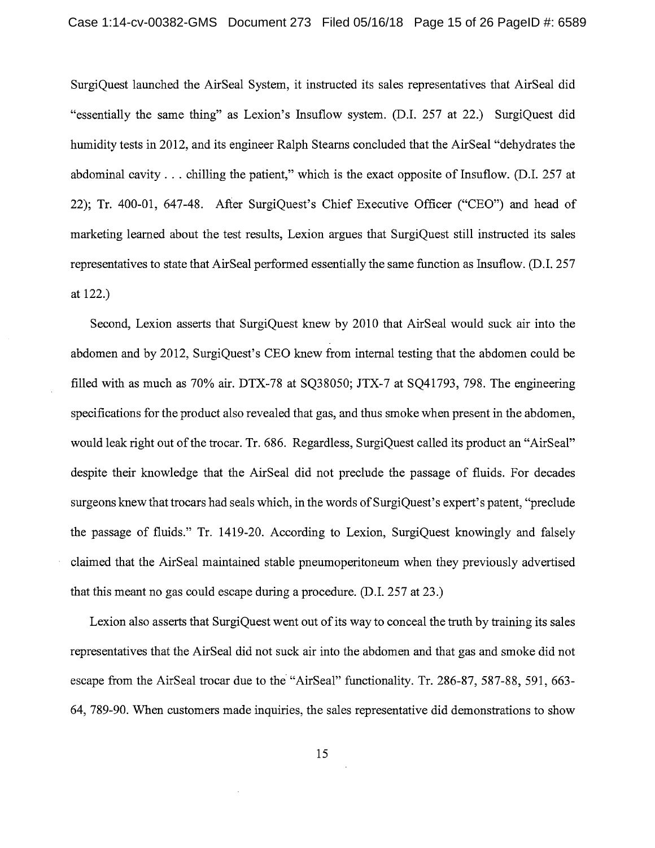SurgiQuest launched the AirSeal System, it instructed its sales representatives that AirSeal did "essentially the same thing" as Lexion's Insuflow system. (D.I. 257 at 22.) SurgiQuest did humidity tests in 2012, and its engineer Ralph Stearns concluded that the AirSeal "dehydrates the abdominal cavity ... chilling the patient," which is the exact opposite of Insuflow. (D.I. 257 at 22); Tr. 400-01, 647-48. After SurgiQuest's Chief Executive Officer ("CEO") and head of marketing learned about the test results, Lexion argues that SurgiQuest still instructed its sales representatives to state that AirSeal performed essentially the same function as Insuflow. (D.I. 257 at 122.)

Second, Lexion asserts that SurgiQuest knew by 2010 that AirSeal would suck air into the abdomen and by 2012, SurgiQuest's CEO knew from internal testing that the abdomen could be filled with as much as 70% air. DTX-78 at SQ38050; JTX-7 at SQ41793, 798. The engineering specifications for the product also revealed that gas, and thus smoke when present in the abdomen, would leak right out of the trocar. Tr. 686. Regardless, SurgiQuest called its product an "AirSeal" despite their knowledge that the AirSeal did not preclude the passage of fluids. For decades surgeons knew that trocars had seals which, in the words of SurgiQuest's expert's patent, "preclude the passage of fluids." Tr. 1419-20. According to Lexion, SurgiQuest knowingly and falsely claimed that the AirSeal maintained stable pneumoperitoneum when they previously advertised that this meant no gas could escape during a procedure. (D.I. 257 at 23.)

Lexion also asserts that SurgiQuest went out of its way to conceal the truth by training its sales representatives that the AirSeal did not suck air into the abdomen and that gas and smoke did not escape from the AirSeal trocar due to the "AirSeal" functionality. Tr. 286-87, 587-88, 591, 663- 64, 789-90. When customers made inquiries, the sales representative did demonstrations to show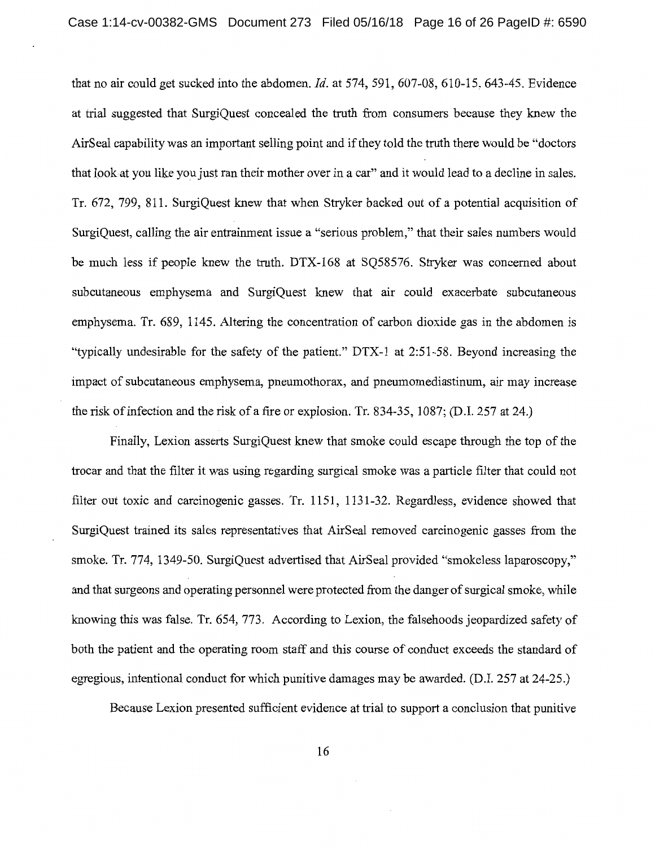that no air could get sucked into the abdomen. *Id.* at 574, 591, 607-08, 610-15, 643-45. Evidence at trial suggested that SurgiQuest concealed the truth from consumers because they knew the AirSeal capability was an important selling point and if they told the truth there would be "doctors that look at you like you just ran their mother over in a car" and it would lead to a decline in sales. Tr. 672, 799, 811. SurgiQuest knew that when Stryker backed out of a potential acquisition of SurgiQuest, calling the air entrainment issue a "serious problem," that their sales numbers would be much less if people knew the truth. DTX-168 at SQ58576. Stryker was concerned about subcutaneous emphysema and SurgiQuest knew that air could exacerbate subcutaneous emphysema. Tr. 689, 1145. Altering the concentration of carbon dioxide gas in the abdomen is "typically undesirable for the safety of the patient." DTX-1 at 2:51-58. Beyond increasing the impact of subcutaneous emphysema, pneumothorax, and pneumomediastinum, air may increase the risk of infection and the risk of a fire or explosion. Tr. 834-35, 1087; (D.I. 257 at 24.)

Finally, Lexion asserts SurgiQuest knew that smoke could escape through the top of the trocar and that the filter it was using regarding surgical smoke was a particle filter that could not filter out toxic and carcinogenic gasses. Tr. 1151, 1131-32. Regardless, evidence showed that SurgiQuest trained its sales representatives that AirSeal removed carcinogenic gasses from the smoke. Tr. 774, 1349-50. SurgiQuest advertised that AirSeal provided "smokeless laparoscopy," and that surgeons and operating personnel were protected from the danger of surgical smoke, while knowing this was false. Tr. 654, 773. According to Lexion, the falsehoods jeopardized safety of both the patient and the operating room staff and this course of conduct exceeds the standard of egregious, intentional conduct for which punitive damages may be awarded. (D.I. 257 at 24-25.)

Because Lexion presented sufficient evidence at trial to support a conclusion that punitive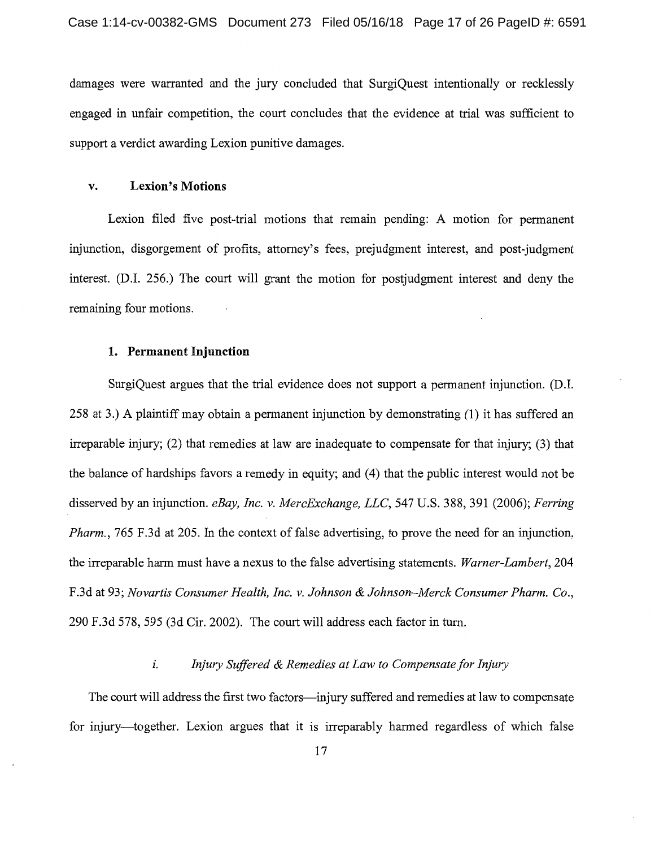damages were warranted and the jury concluded that SurgiQuest intentionally or recklessly engaged in unfair competition, the court concludes that the evidence at trial was sufficient to support a verdict awarding Lexion punitive damages.

#### **v. Lexion's Motions**

Lexion filed five post-trial motions that remain pending: A motion for permanent injunction, disgorgement of profits, attorney's fees, prejudgment interest, and post-judgment interest. (D.I. 256.) The court will grant the motion for postjudgment interest and deny the remaining four motions.

#### **1. Permanent Injunction**

SurgiQuest argues that the trial evidence does not support a permanent injunction. (D.I. 258 at 3.) A plaintiff may obtain a permanent injunction by demonstrating (1) it has suffered an irreparable injury; (2) that remedies at law are inadequate to compensate for that injury; (3) that the balance of hardships favors a remedy in equity; and ( 4) that the public interest would not be disserved by an injunction. *eBay, Inc. v. MercExchange, LLC,* 547 U.S. 388,391 (2006); *Perring Pharm.,* 765 F.3d at 205. In the context of false advertising, to prove the need for an injunction, the irreparable harm must have a nexus to the false advertising statements. *Warner-Lambert,* 204 F.3d at 93; *Novartis Consumer Health, Inc. v. Johnson & Johnson-Merck Consumer Pharm. Co.,*  290 F.3d 578, 595 (3d Cir. 2002). The court will address each factor in turn.

#### *i. Injury Suffered & Remedies at Law to Compensate for Injwy*

The court will address the first two factors-injury suffered and remedies at law to compensate for injury-together. Lexion argues that it is irreparably harmed regardless of which false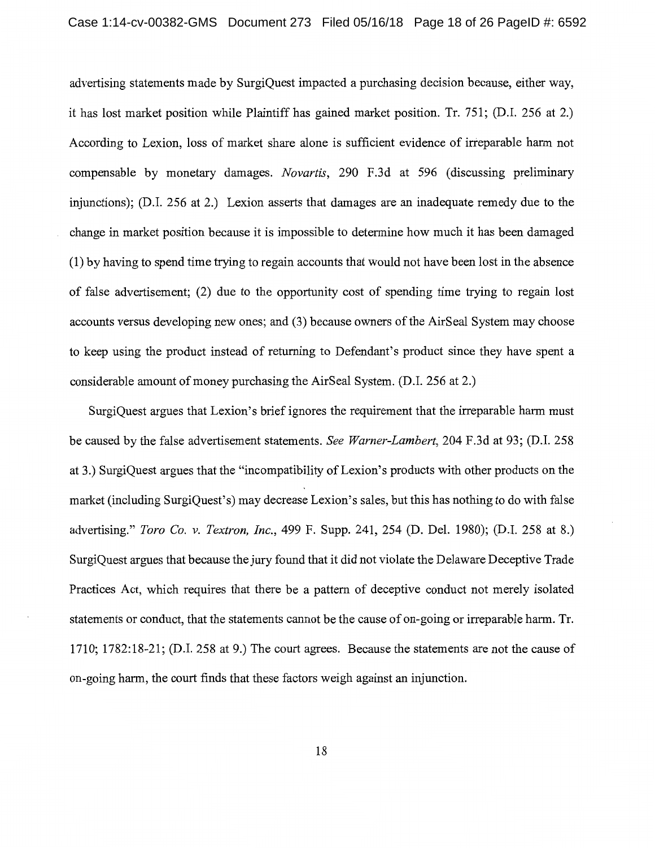advertising statements made by SurgiQuest impacted a purchasing decision because, either way, it has lost market position while Plaintiff has gained market position. Tr. 751; (D.I. 256 at 2.) According to Lexion, loss of market share alone is sufficient evidence of irreparable harm not compensable by monetary damages. *Novartis,* 290 F.3d at 596 (discussing preliminary injunctions); (D.I. 256 at 2.) Lexion asserts that damages are an inadequate remedy due to the change in market position because it is impossible to determine how much it has been damaged (1) by having to spend time trying to regain accounts that would not have been lost in the absence of false advertisement; (2) due to the opportunity cost of spending time trying to regain lost accounts versus developing new ones; and (3) because owners of the AirSeal System may choose to keep using the product instead of returning to Defendant's product since they have spent a considerable amount of money purchasing the AirSeal System. (D.I. 256 at 2.)

SurgiQuest argues that Lexion's brief ignores the requirement that the irreparable harm must be caused by the false advertisement statements. *See Warner-Lambert,* 204 F.3d at 93; (D.I. 258 at 3.) SurgiQuest argues that the "incompatibility of Lexion's products with other products on the market (including SurgiQuest's) may decrease Lexion's sales, but this has nothing to do with false advertising." *Toro Co. v. Textron, Inc.,* 499 F. Supp. 241, 254 (D. Del. 1980); (D.I. 258 at 8.) SurgiQuest argues that because the jury found that it did not violate the Delaware Deceptive Trade Practices Act, which requires that there be a pattern of deceptive conduct not merely isolated statements or conduct, that the statements cannot be the cause of on-going or irreparable harm. Tr. 1710; 1782:18-21; (D.I. 258 at 9.) The court agrees. Because the statements are not the cause of on-going harm, the court finds that these factors weigh against an injunction.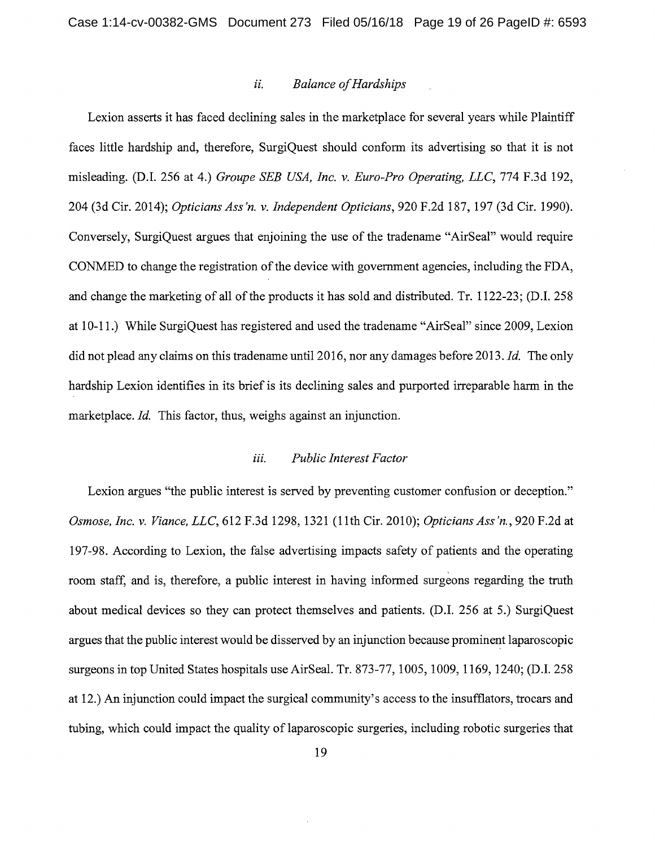#### *ii. Balance of Hardships*

Lexion asserts it has faced declining sales in the marketplace for several years while Plaintiff faces little hardship and, therefore, SurgiQuest should conform its advertising so that it is not misleading. (D.I. 256 at 4.) *Groupe SEB USA, Inc. v. Euro-Pro Operating,* LLC, 774 F.3d 192, 204 (3d Cir. 2014); *Opticians Ass'n. v. Independent Opticians,* 920 F.2d 187, 197 (3d Cir. 1990). Conversely, SurgiQuest argues that enjoining the use of the tradename "AirSeal" would require CONMED to change the registration of the device with government agencies, including the FDA, and change the marketing of all of the products it has sold and distributed. Tr. 1122-23; (D.I. 258 at 10-11.) While SurgiQuest has registered and used the tradename "AirSeal" since 2009, Lexion did not plead any claims on this tradenameuntil 2016, nor any damages before 2013. *Id.* The only hardship Lexion identifies in its brief is its declining sales and purported irreparable harm in the marketplace. *Id.* This factor, thus, weighs against an injunction.

#### *iii. Public Interest Factor*

Lexion argues "the public interest is served by preventing customer confusion or deception." *Osmose, Inc. v. Viance,* LLC, 612 F.3d 1298, 1321 (11th Cir. 2010); *Opticians Ass 'n.,* 920 F.2d at 197-98. According to Lexion, the false advertising impacts safety of patients and the operating room staff, and is, therefore, a public interest in having informed surgeons regarding the truth about medical devices so they can protect themselves and patients. (D.I. 256 at 5.) SurgiQuest argues that the public interest would be disserved by an injunction because prominent laparoscopic surgeons in top United States hospitals use AirSeal. Tr. 873-77, 1005, 1009, 1169, 1240; (D.I. 258 at 12.) An injunction could impact the surgical community's access to the insufflators, trocars and tubing, which could impact the quality of laparoscopic surgeries, including robotic surgeries that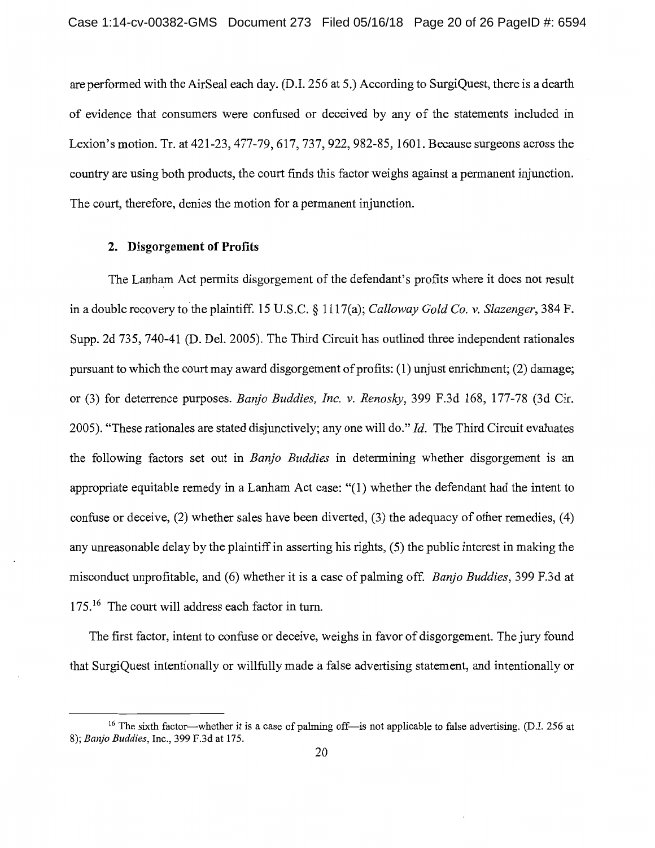are performed with the AirSeal each day. (D.I. 256 at 5.) According to SurgiQuest, there is a dearth of evidence that consumers were confused or deceived by any of the statements included in Lexion's motion. Tr. at 421-23, 477-79, 617,737,922, 982-85, 1601. Because surgeons across the country are using both products, the court finds this factor weighs against a permanent injunction. The court, therefore, denies the motion for a permanent injunction.

### **2. Disgorgement of Profits**

The Lanham Act permits disgorgement of the defendant's profits where it does not result in a double recovery to the plaintiff. 15 U.S.C. § l 117(a); *Calloway Gold Co. v. Slazenger,* 384 F. Supp. 2d 735, 740-41 (D. Del. 2005). The Third Circuit has outlined three independent rationales pursuant to which the court may award disgorgement of profits: (1) unjust enrichment; (2) damage; or (3) for deterrence purposes. *Barifo Buddies, Inc. v. Renosky,* 399 F.3d 168, 177-78 (3d Cir. 2005). "These rationales are stated disjunctively; any one will do." *Id.* The Third Circuit evaluates the following factors set out in *Banjo Buddies* in determining whether disgorgement is an appropriate equitable remedy in a Lanham Act case: "(1) whether the defendant had the intent to confuse or deceive, (2) whether sales have been diverted, (3) the adequacy of other remedies, (4) any unreasonable delay by the plaintiff in asserting his rights, ( 5) the public interest in making the misconduct unprofitable, and (6) whether it is a case of palming off. *Banjo Buddies*, 399 F.3d at 175.<sup>16</sup> The court will address each factor in turn.

The first factor, intent to confuse or deceive, weighs in favor of disgorgement. The jury found that SurgiQuest intentionally or willfully made a false advertising statement, and intentionally or

<sup>&</sup>lt;sup>16</sup> The sixth factor-whether it is a case of palming off-is not applicable to false advertising. (D.I. 256 at 8); *Banjo Buddies,* Inc., 399 F.3d at 175.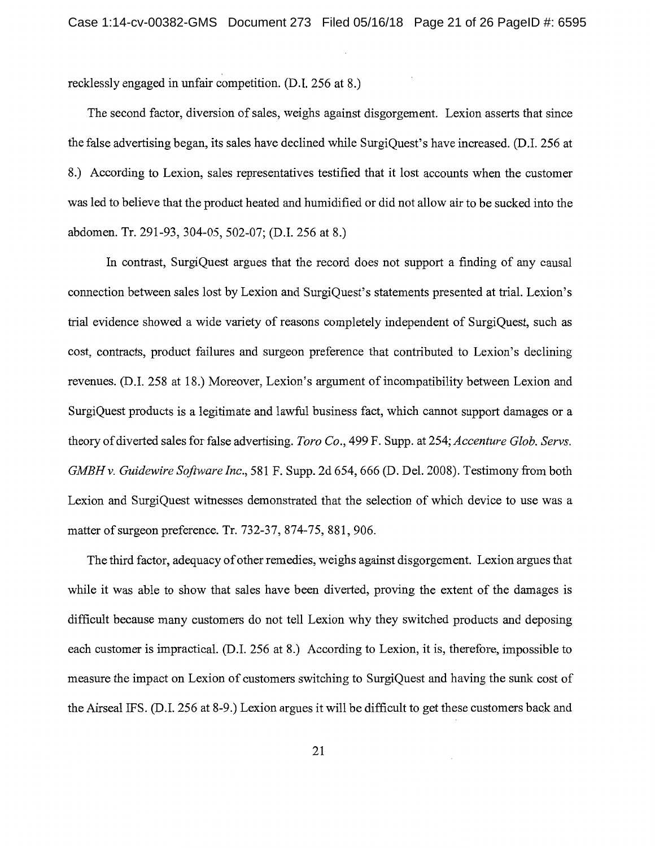recklessly engaged in unfair competition. (D.I. 256 at 8.)

The second factor, diversion of sales, weighs against disgorgement. Lexion asserts that since the false advertising began, its sales have declined while SurgiQuest's have increased. (D.I. 256 at 8.) According to Lexion, sales representatives testified that it lost accounts when the customer was led to believe that the product heated and humidified or did not allow air to be sucked into the abdomen. Tr. 291-93, 304-05, 502-07; (D.I. 256 at 8.)

In contrast, SurgiQuest argues that the record does not support a finding of any causal connection between sales lost by Lexion and SurgiQuest's statements presented at trial. Lexion's trial evidence showed a wide variety of reasons completely independent of SurgiQuest, such as cost, contracts, product failures and surgeon preference that contributed to Lexion's declining revenues. (D.I. 258 at 18.) Moreover, Lexion's argument of incompatibility between Lexion and SurgiQuest products is a legitimate and lawful business fact, which cannot support damages or a theory of diverted sales for false advertising. *Toro Co.,* 499 F. Supp. at 254; *Accenture Glob. Servs. GMBH v. Guidewire Software Inc.,* 581 F. Supp. 2d 654, 666 (D. Del. 2008). Testimony from both Lexion and SurgiQuest witnesses demonstrated that the selection of which device to use was a matter of surgeon preference. Tr. 732-37, 874-75, 881,906.

The third factor, adequacy of other remedies, weighs against disgorgement. Lexion argues that while it was able to show that sales have been diverted, proving the extent of the damages is difficult because many customers do not tell Lexion why they switched products and deposing each customer is impractical. (D.I. 256 at 8.) According to Lexion, it is, therefore, impossible to measure the impact on Lexion of customers switching to SurgiQuest and having the sunk cost of the Airseal IFS. (D.I. 256 at 8-9.) Lexion argues it will be difficult to get these customers back and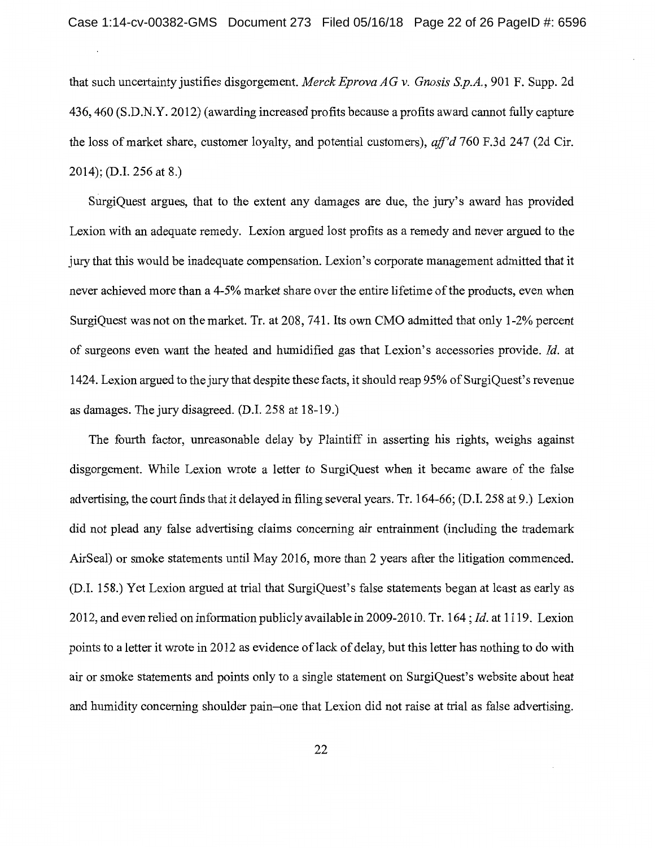that such uncertainty justifies disgorgement. *Merck Eprova AG v. Gnosis S.p.A.,* 901 F. Supp. 2d 436,460 (S.D.N.Y. 2012) (awarding increased profits because a profits award cannot fully capture the loss of market share, customer loyalty, and potential customers), *aff'd* 760 F.3d 247 (2d Cir. 2014); (D.I. 256 at 8.)

SurgiQuest argues, that to the extent any damages are due, the jury's award has provided Lexion with an adequate remedy. Lexion argued lost profits as a remedy and never argued to the jury that this would be inadequate compensation. Lexion's corporate management admitted that it never achieved more than a 4-5% market share over the entire lifetime of the products, even when SurgiQuest was not on the market. Tr. at 208, 741. Its own CMO admitted that only 1-2% percent of surgeons even want the heated and humidified gas that Lexion's accessories provide. *Id.* at 1424. Lexion argued to the jury that despite these facts, it should reap 95% of SurgiQuest's revenue as damages. The jury disagreed.  $(D.I. 258$  at  $18-19$ .

The fourth factor, unreasonable delay by Plaintiff in asserting his rights, weighs against disgorgement. While Lexion wrote a letter to SurgiQuest when it became aware of the false advertising, the court finds that it delayed in filing several years. Tr. 164-66; (D.I. 258 at 9.) Lexion did not plead any false advertising claims concerning air entrainment (including the trademark AirSeal) or smoke statements until May 2016, more than 2 years after the litigation commenced. (D.I. 158.) Yet Lexion argued at trial that SurgiQuest's false statements began at least as early as 2012, and even relied on information publicly available in 2009-2010. Tr. 164; *Id.* at 1119. Lexion points to a letter it wrote in 2012 as evidence of lack of delay, but this letter has nothing to do with air or smoke statements and points only to a single statement on SurgiQuest's website about heat and humidity concerning shoulder pain-one that Lexion did not raise at trial as false advertising.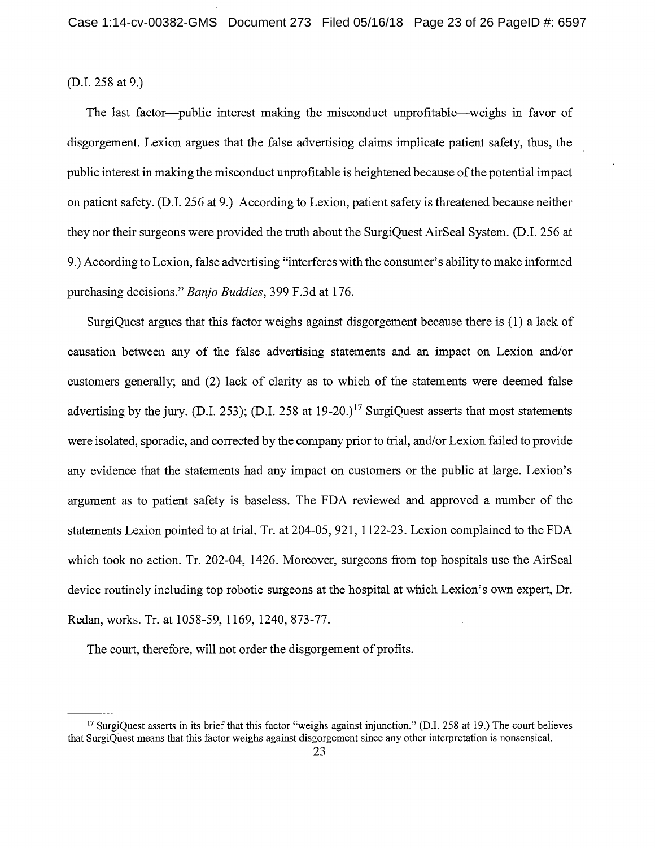(D.I. 258 at 9.)

The last factor-public interest making the misconduct unprofitable-weighs in favor of disgorgement. Lexion argues that the false advertising claims implicate patient safety, thus, the public interest in making the misconduct unprofitable is heightened because of the potential impact on patient safety. (D.I. 256 at 9.) According to Lexion, patient safety is threatened because neither they nor their surgeons were provided the truth about the SurgiQuest AirSeal System. (D.I. 256 at 9.) According to Lexion, false advertising "interferes with the consumer's ability to make informed purchasing decisions." *Banjo Buddies,* 399 F.3d at 176.

SurgiQuest argues that this factor weighs against disgorgement because there is (1) a lack of causation between any of the false advertising statements and an impact on Lexion and/or customers generally; and (2) lack of clarity as to which of the statements were deemed false advertising by the jury. (D.I. 253); (D.I. 258 at  $19-20$ .)<sup>17</sup> SurgiQuest asserts that most statements were isolated, sporadic, and corrected by the company prior to trial, and/or Lexion failed to provide any evidence that the statements had any impact on customers or the public at large. Lexion's argument as to patient safety is baseless. The FDA reviewed and approved a number of the statements Lexion pointed to at trial. Tr. at 204-05, 921, 1122-23. Lexion complained to the FDA which took no action. Tr. 202-04, 1426. Moreover, surgeons from top hospitals use the AirSeal device routinely including top robotic surgeons at the hospital at which Lexion's own expert, Dr. Redan, works. Tr. at 1058-59, 1169, 1240, 873-77.

The court, therefore, will not order the disgorgement of profits.

<sup>&</sup>lt;sup>17</sup> SurgiQuest asserts in its brief that this factor "weighs against injunction." (D.I. 258 at 19.) The court believes that SurgiQuest means that this factor weighs against disgorgement since any other interpretation is nonsensical.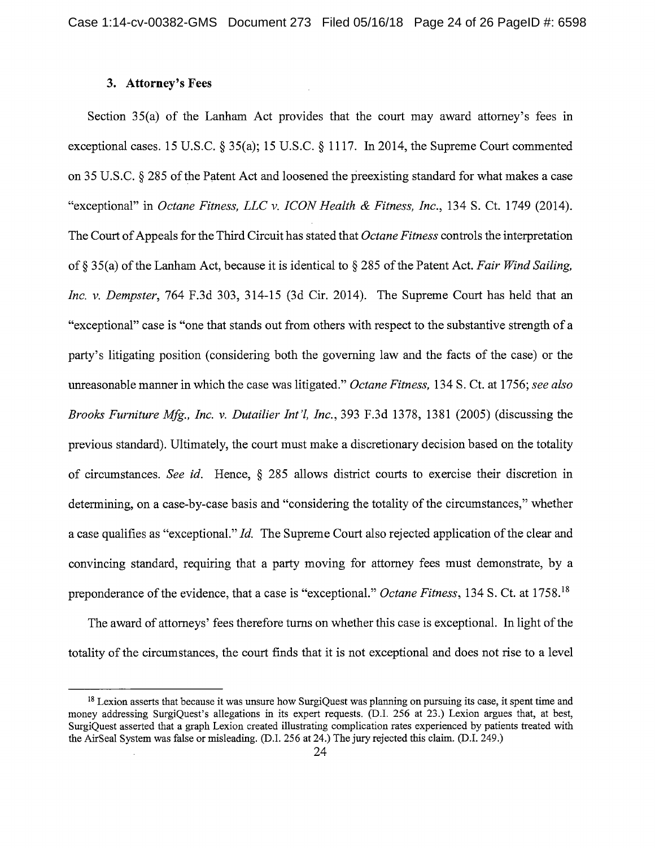### **3. Attorney's Fees**

Section 35(a) of the Lanham Act provides that the court may award attorney's fees in exceptional cases. 15 U.S.C. § 35(a); 15 U.S.C. § 1117. In 2014, the Supreme Court commented on 35 U.S.C. § 285 of the Patent Act and loosened the preexisting standard for what makes a case "exceptional" in *Octane Fitness, LLC v. ICON Health & Fitness, Inc.*, 134 S. Ct. 1749 (2014). The Court of Appeals for the Third Circuit has stated that *Octane Fitness* controls the interpretation of§ 35(a) of the Lanham Act, because it is identical to§ 285 of the Patent Act. *Fair Wind Sailing, Inc. v. Dempster,* 764 F.3d 303, 314-15 (3d Cir. 2014). The Supreme Court has held that an "exceptional" case is "one that stands out from others with respect to the substantive strength of a party's litigating position ( considering both the governing law and the facts of the case) or the unreasonable manner in which the case was litigated." *Octane Fitness,* 134 S. Ct. at 1756; *see also Brooks Furniture Mfg., Inc. v. Dutailier Int'!, Inc.,* 393 F.3d 1378, 1381 (2005) (discussing the previous standard). Ultimately, the court must make a discretionary decision based on the totality of circumstances. *See id.* Hence, § 285 allows district courts to exercise their discretion in determining, on a case-by-case basis and "considering the totality of the circumstances," whether a case qualifies as "exceptional." *Id.* The Supreme Court also rejected application of the clear and convincing standard, requiring that a party moving for attorney fees must demonstrate, by a preponderance of the evidence, that a case is "exceptional." *Octane Fitness,* 134 S. Ct. at 1758. <sup>18</sup>

The award of attorneys' fees therefore turns on whether this case is exceptional. In light of the totality of the circumstances, the court finds that it is not exceptional and does not rise to a level

<sup>&</sup>lt;sup>18</sup> Lexion asserts that because it was unsure how SurgiQuest was planning on pursuing its case, it spent time and money addressing SurgiQuest's allegations in its expert requests. (D.I. 256 at 23.) Lexion argues that, at best, SurgiQuest asserted that a graph Lexion created illustrating complication rates experienced by patients treated with the AirSeal System was false or misleading. (D.I. 256 at 24.) The jury rejected this claim. (D.I. 249.)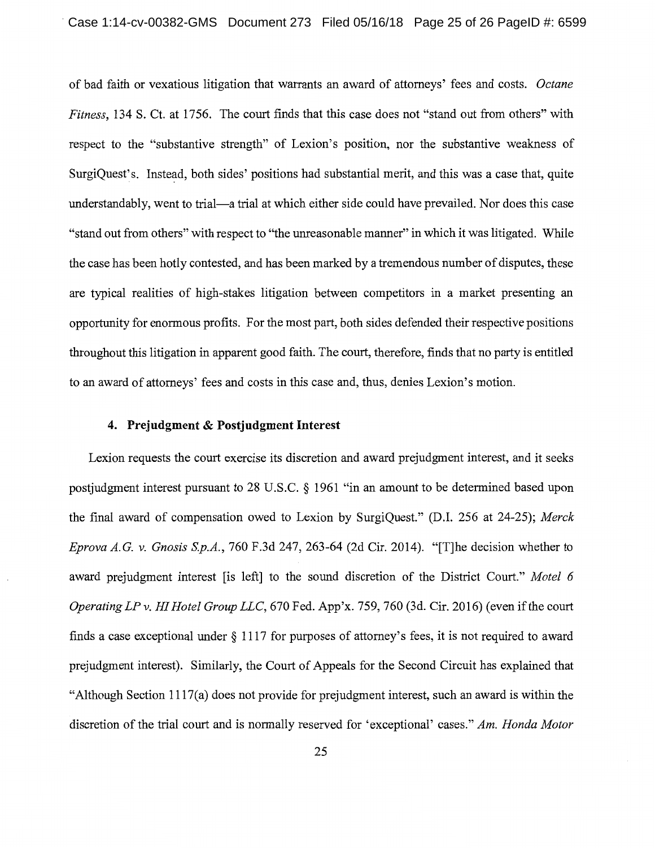of bad faith or vexatious litigation that warrants an award of attorneys' fees and costs. *Octane Fitness,* 134 S. Ct. at 1756. The court finds that this case does not "stand out from others" with respect to the "substantive strength" of Lexion's position, nor the substantive weakness of SurgiQuest's. Instead, both sides' positions had substantial merit, and this was a case that, quite understandably, went to trial-a trial at which either side could have prevailed. Nor does this case "stand out from others" with respect to "the unreasonable manner" in which it was litigated. While the case has been hotly contested, and has been marked by a tremendous number of disputes, these are typical realities of high-stakes litigation between competitors in a market presenting an opportunity for enormous profits. For the most part, both sides defended their respective positions throughout this litigation in apparent good faith. The court, therefore, finds that no party is entitled to an award of attorneys' fees and costs in this case and, thus, denies Lexion's motion.

### **4. Prejudgment & Postjudgment Interest**

Lexion requests the court exercise its discretion and award prejudgment interest, and it seeks postjudgment interest pursuant to 28 U.S.C. § 1961 "in an amount to be determined based upon the final award of compensation owed to Lexion by SurgiQuest." (D.I. 256 at 24-25); *Merck Eprova A.G. v. Gnosis S.p.A.,* 760 F.3d 247, 263-64 (2d Cir. 2014). "[T]he decision whether to award prejudgment interest [is left] to the sound discretion of the District Court." *Motel 6 Operating LP v. HI Hotel Group LLC,* 670 Fed. App'x. 759, 760 (3d. Cir. 2016) (even if the court finds a case exceptional under § 1117 for purposes of attorney's fees, it is not required to award prejudgment interest). Similarly, the Court of Appeals for the Second Circuit has explained that "Although Section 1117(a) does not provide for prejudgment interest, such an award is within the discretion of the trial court and is normally reserved for 'exceptional' cases." *Am. Honda Motor*